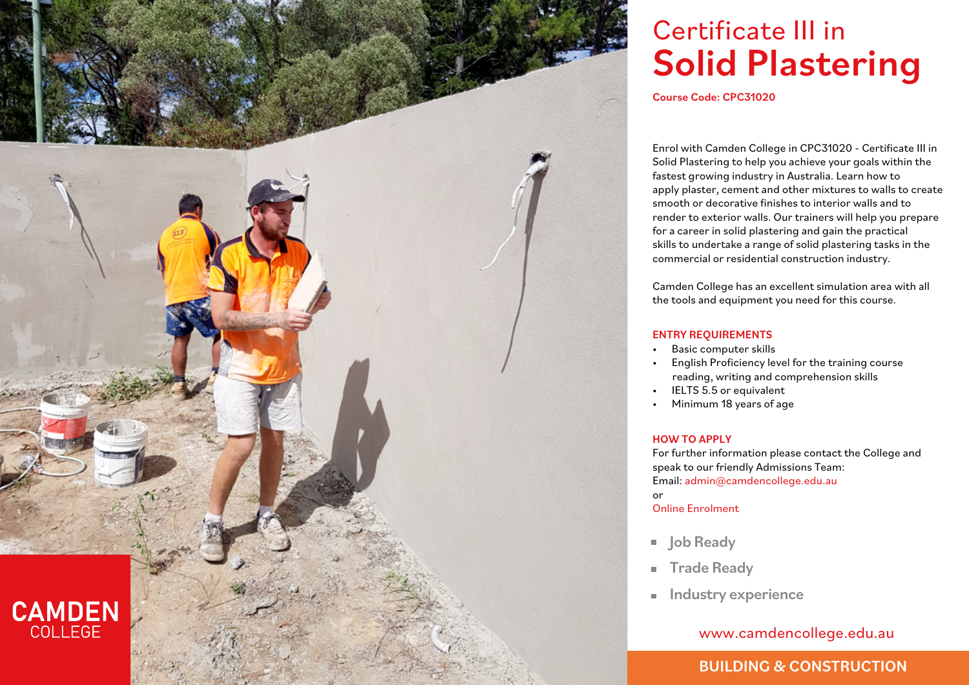

# Certificate III in Solid Plastering

Course Code: CPC31020

Enrol with Camden College in CPC31020 - Certificate III in Solid Plastering to help you achieve your goals within the fastest growing industry in Australia. Learn how to apply plaster, cement and other mixtures to walls to create smooth or decorative finishes to interior walls and to render to exterior walls. Our trainers will help you prepare for a career in solid plastering and gain the practical skills to undertake a range of solid plastering tasks in the commercial or residential construction industry.

Camden College has an excellent simulation area with all the tools and equipment you need for this course.

#### ENTRY REQUIREMENTS

- Basic computer skills
- English Proficiency level for the training course reading, writing and comprehension skills
- IELTS 5.5 or equivalent
- Minimum 18 years of age

#### HOW TO APPLY

For further information please contact the College and speak to our friendly Admissions Team: Email: admin@camdencollege.edu.au or Online Enrolment

- **Job Ready**
- Trade Ready  $\mathbf{r}$
- **Industry experience**

### www.camdencollege.edu.au

## BUILDING & CONSTRUCTION